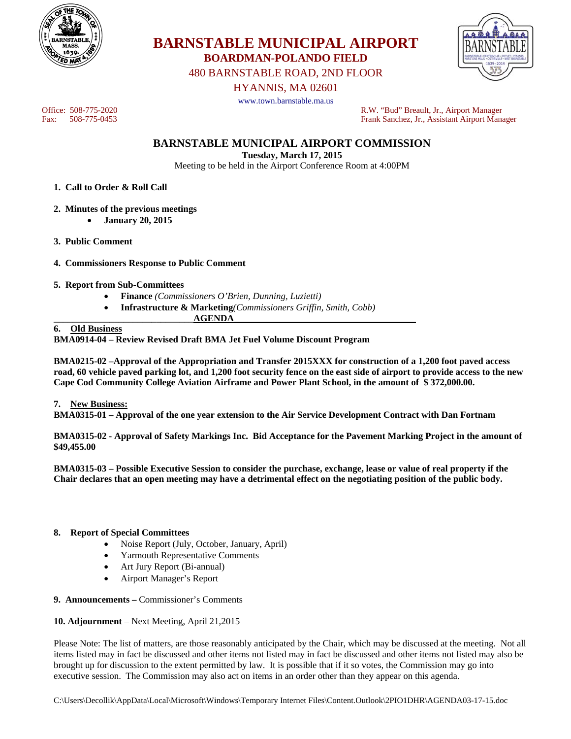



Office: 508-775-2020<br>
Fax: 508-775-0453<br>
Frank Sanchez, Jr., Assistant Airport Manager

Frank Sanchez, Jr., Assistant Airport Manager

**BARNSTABLE MUNICIPAL AIRPORT COMMISSION** 

**Tuesday, March 17, 2015** 

**BOARDMAN-POLANDO FIELD**  480 BARNSTABLE ROAD, 2ND FLOOR HYANNIS, MA 02601 www.town.barnstable.ma.us

Meeting to be held in the Airport Conference Room at 4:00PM

- **1. Call to Order & Roll Call**
- **2. Minutes of the previous meetings** 
	- **January 20, 2015**
- **3. Public Comment**
- **4. Commissioners Response to Public Comment**
- **5. Report from Sub-Committees** 
	- **Finance** *(Commissioners O'Brien, Dunning, Luzietti)*
	- **Infrastructure & Marketing***(Commissioners Griffin, Smith, Cobb)*
- **\_\_\_\_\_\_\_\_\_\_\_\_\_\_\_\_\_\_\_\_\_\_\_\_\_\_\_\_\_\_AGENDA\_\_\_\_\_\_\_\_\_\_\_\_\_\_\_\_\_\_\_\_\_\_\_\_\_\_\_\_\_\_\_\_\_\_\_\_\_\_\_**

## **6. Old Business**

**BMA0914-04 – Review Revised Draft BMA Jet Fuel Volume Discount Program** 

**BMA0215-02 –Approval of the Appropriation and Transfer 2015XXX for construction of a 1,200 foot paved access road, 60 vehicle paved parking lot, and 1,200 foot security fence on the east side of airport to provide access to the new Cape Cod Community College Aviation Airframe and Power Plant School, in the amount of \$ 372,000.00.** 

#### **7. New Business:**

**BMA0315-01 – Approval of the one year extension to the Air Service Development Contract with Dan Fortnam** 

**BMA0315-02 - Approval of Safety Markings Inc. Bid Acceptance for the Pavement Marking Project in the amount of \$49,455.00** 

**BMA0315-03 – Possible Executive Session to consider the purchase, exchange, lease or value of real property if the Chair declares that an open meeting may have a detrimental effect on the negotiating position of the public body.** 

#### **8. Report of Special Committees**

- Noise Report (July, October, January, April)
- Yarmouth Representative Comments
- Art Jury Report (Bi-annual)
- Airport Manager's Report
- **9. Announcements** Commissioner's Comments

#### **10. Adjournment** – Next Meeting, April 21,2015

Please Note: The list of matters, are those reasonably anticipated by the Chair, which may be discussed at the meeting. Not all items listed may in fact be discussed and other items not listed may in fact be discussed and other items not listed may also be brought up for discussion to the extent permitted by law. It is possible that if it so votes, the Commission may go into executive session. The Commission may also act on items in an order other than they appear on this agenda.

C:\Users\Decollik\AppData\Local\Microsoft\Windows\Temporary Internet Files\Content.Outlook\2PIO1DHR\AGENDA03-17-15.doc